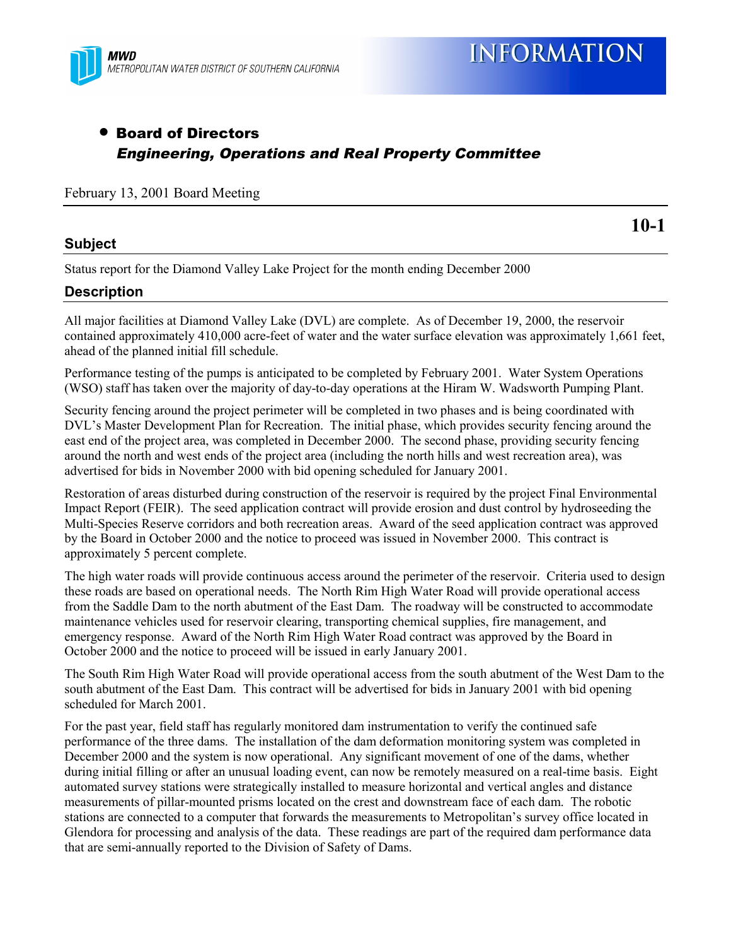

## • Board of Directors Engineering, Operations and Real Property Committee

February 13, 2001 Board Meeting

## **Subject**

**10-1**

Status report for the Diamond Valley Lake Project for the month ending December 2000

## **Description**

All major facilities at Diamond Valley Lake (DVL) are complete. As of December 19, 2000, the reservoir contained approximately 410,000 acre-feet of water and the water surface elevation was approximately 1,661 feet, ahead of the planned initial fill schedule.

Performance testing of the pumps is anticipated to be completed by February 2001. Water System Operations (WSO) staff has taken over the majority of day-to-day operations at the Hiram W. Wadsworth Pumping Plant.

Security fencing around the project perimeter will be completed in two phases and is being coordinated with DVL's Master Development Plan for Recreation. The initial phase, which provides security fencing around the east end of the project area, was completed in December 2000. The second phase, providing security fencing around the north and west ends of the project area (including the north hills and west recreation area), was advertised for bids in November 2000 with bid opening scheduled for January 2001.

Restoration of areas disturbed during construction of the reservoir is required by the project Final Environmental Impact Report (FEIR). The seed application contract will provide erosion and dust control by hydroseeding the Multi-Species Reserve corridors and both recreation areas. Award of the seed application contract was approved by the Board in October 2000 and the notice to proceed was issued in November 2000. This contract is approximately 5 percent complete.

The high water roads will provide continuous access around the perimeter of the reservoir. Criteria used to design these roads are based on operational needs. The North Rim High Water Road will provide operational access from the Saddle Dam to the north abutment of the East Dam. The roadway will be constructed to accommodate maintenance vehicles used for reservoir clearing, transporting chemical supplies, fire management, and emergency response. Award of the North Rim High Water Road contract was approved by the Board in October 2000 and the notice to proceed will be issued in early January 2001.

The South Rim High Water Road will provide operational access from the south abutment of the West Dam to the south abutment of the East Dam. This contract will be advertised for bids in January 2001 with bid opening scheduled for March 2001.

For the past year, field staff has regularly monitored dam instrumentation to verify the continued safe performance of the three dams. The installation of the dam deformation monitoring system was completed in December 2000 and the system is now operational. Any significant movement of one of the dams, whether during initial filling or after an unusual loading event, can now be remotely measured on a real-time basis. Eight automated survey stations were strategically installed to measure horizontal and vertical angles and distance measurements of pillar-mounted prisms located on the crest and downstream face of each dam. The robotic stations are connected to a computer that forwards the measurements to Metropolitan's survey office located in Glendora for processing and analysis of the data. These readings are part of the required dam performance data that are semi-annually reported to the Division of Safety of Dams.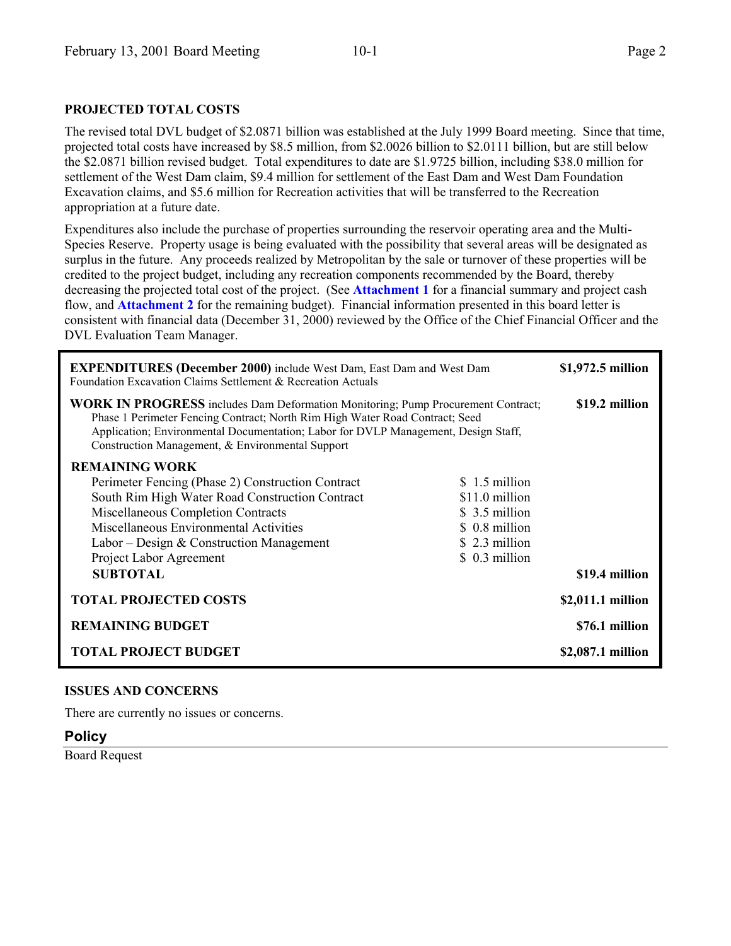## **PROJECTED TOTAL COSTS**

The revised total DVL budget of \$2.0871 billion was established at the July 1999 Board meeting. Since that time, projected total costs have increased by \$8.5 million, from \$2.0026 billion to \$2.0111 billion, but are still below the \$2.0871 billion revised budget. Total expenditures to date are \$1.9725 billion, including \$38.0 million for settlement of the West Dam claim, \$9.4 million for settlement of the East Dam and West Dam Foundation Excavation claims, and \$5.6 million for Recreation activities that will be transferred to the Recreation appropriation at a future date.

Expenditures also include the purchase of properties surrounding the reservoir operating area and the Multi-Species Reserve. Property usage is being evaluated with the possibility that several areas will be designated as surplus in the future. Any proceeds realized by Metropolitan by the sale or turnover of these properties will be credited to the project budget, including any recreation components recommended by the Board, thereby decreasing the projected total cost of the project. (See **Attachment 1** for a financial summary and project cash flow, and **Attachment 2** for the remaining budget). Financial information presented in this board letter is consistent with financial data (December 31, 2000) reviewed by the Office of the Chief Financial Officer and the DVL Evaluation Team Manager.

| <b>EXPENDITURES (December 2000)</b> include West Dam, East Dam and West Dam<br>Foundation Excavation Claims Settlement & Recreation Actuals                                                                                                                                                                       |                                                                                       | \$1,972.5 million |
|-------------------------------------------------------------------------------------------------------------------------------------------------------------------------------------------------------------------------------------------------------------------------------------------------------------------|---------------------------------------------------------------------------------------|-------------------|
| <b>WORK IN PROGRESS</b> includes Dam Deformation Monitoring; Pump Procurement Contract;<br>Phase 1 Perimeter Fencing Contract; North Rim High Water Road Contract; Seed<br>Application; Environmental Documentation; Labor for DVLP Management, Design Staff,<br>Construction Management, & Environmental Support |                                                                                       | \$19.2 million    |
| <b>REMAINING WORK</b><br>Perimeter Fencing (Phase 2) Construction Contract<br>South Rim High Water Road Construction Contract<br>Miscellaneous Completion Contracts<br>Miscellaneous Environmental Activities<br>Labor – Design & Construction Management                                                         | $$1.5$ million<br>\$11.0 million<br>\$ 3.5 million<br>\$ 0.8 million<br>\$2.3 million |                   |
| Project Labor Agreement<br><b>SUBTOTAL</b>                                                                                                                                                                                                                                                                        | \$ 0.3 million                                                                        | \$19.4 million    |
| <b>TOTAL PROJECTED COSTS</b>                                                                                                                                                                                                                                                                                      |                                                                                       | \$2,011.1 million |
| <b>REMAINING BUDGET</b>                                                                                                                                                                                                                                                                                           |                                                                                       | \$76.1 million    |
| <b>TOTAL PROJECT BUDGET</b>                                                                                                                                                                                                                                                                                       |                                                                                       | \$2,087.1 million |

### **ISSUES AND CONCERNS**

There are currently no issues or concerns.

### **Policy**

Board Request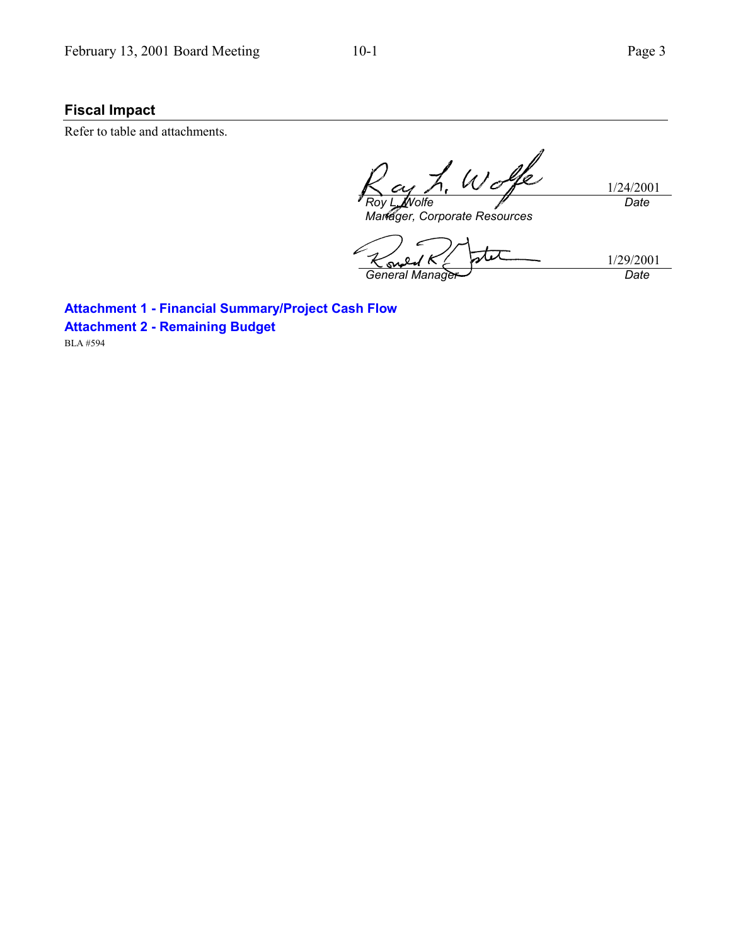## **Fiscal Impact**

Refer to table and attachments.

Wolfe 1/24/2001 *Roy L. Wolfe Date Manager, Corporate Resources*

stet 1/29/2001 *General Manager Date*

**Attachment 1 - Financial Summary/Project Cash Flow Attachment 2 - Remaining Budget**

BLA #594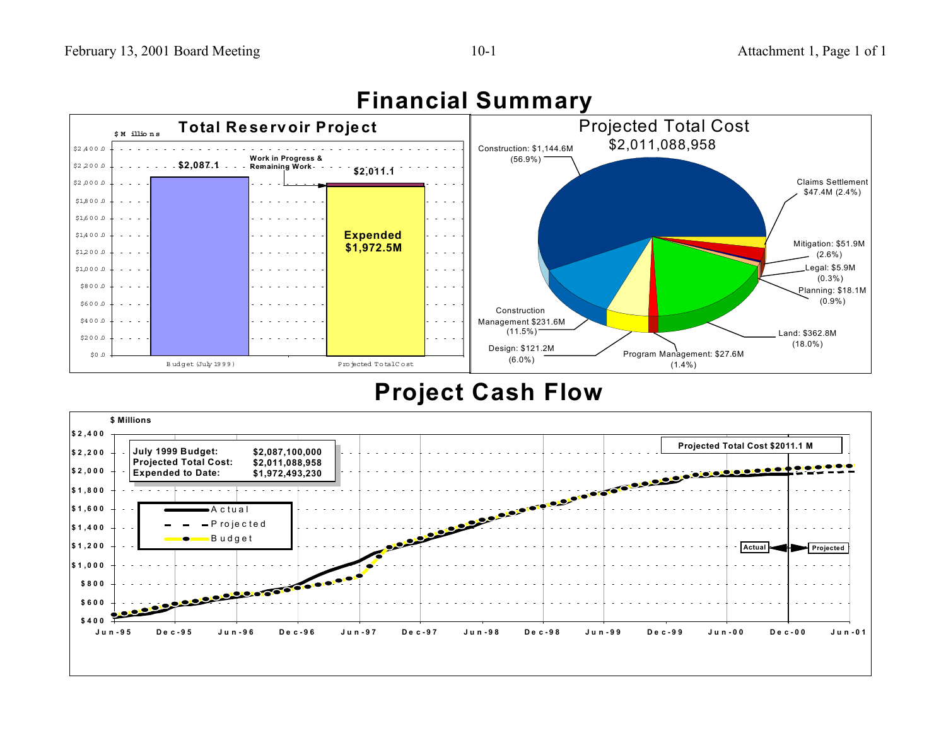

## **Financial Summary**

## **Project Cash Flow**